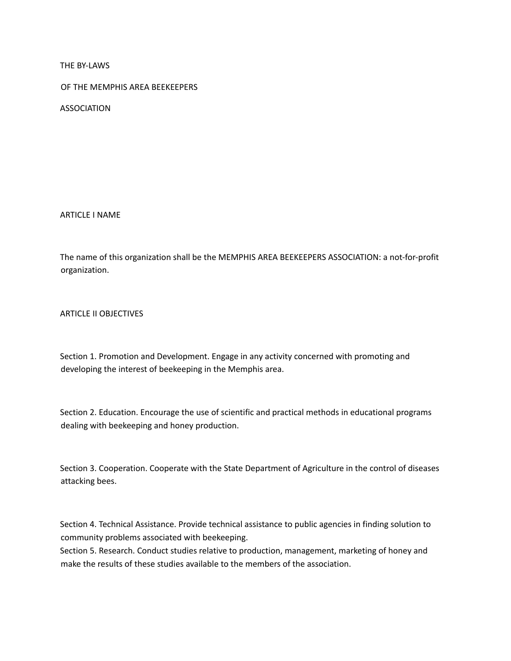THE BY-LAWS

OF THE MEMPHIS AREA BEEKEEPERS

ASSOCIATION

ARTICLE I NAME

The name of this organization shall be the MEMPHIS AREA BEEKEEPERS ASSOCIATION: a not-for-profit organization.

ARTICLE II OBJECTIVES

Section 1. Promotion and Development. Engage in any activity concerned with promoting and developing the interest of beekeeping in the Memphis area.

Section 2. Education. Encourage the use of scientific and practical methods in educational programs dealing with beekeeping and honey production.

Section 3. Cooperation. Cooperate with the State Department of Agriculture in the control of diseases attacking bees.

Section 4. Technical Assistance. Provide technical assistance to public agencies in finding solution to community problems associated with beekeeping.

Section 5. Research. Conduct studies relative to production, management, marketing of honey and make the results of these studies available to the members of the association.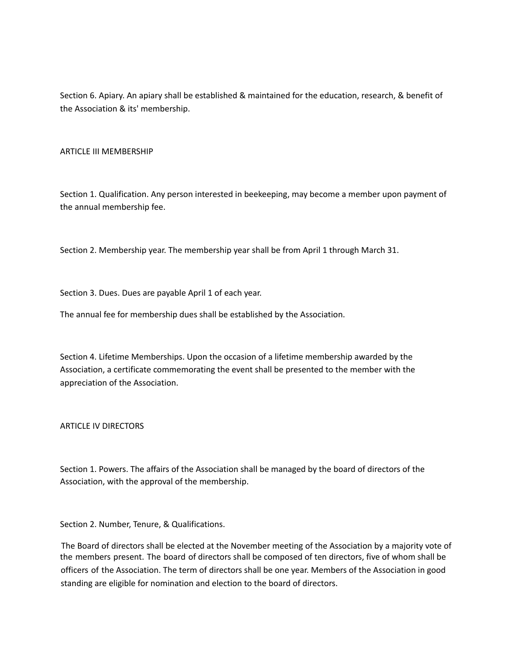Section 6. Apiary. An apiary shall be established & maintained for the education, research, & benefit of the Association & its' membership.

### ARTICLE III MEMBERSHIP

Section 1. Qualification. Any person interested in beekeeping, may become a member upon payment of the annual membership fee.

Section 2. Membership year. The membership year shall be from April 1 through March 31.

Section 3. Dues. Dues are payable April 1 of each year.

The annual fee for membership dues shall be established by the Association.

Section 4. Lifetime Memberships. Upon the occasion of a lifetime membership awarded by the Association, a certificate commemorating the event shall be presented to the member with the appreciation of the Association.

ARTICLE IV DIRECTORS

Section 1. Powers. The affairs of the Association shall be managed by the board of directors of the Association, with the approval of the membership.

Section 2. Number, Tenure, & Qualifications.

The Board of directors shall be elected at the November meeting of the Association by a majority vote of the members present. The board of directors shall be composed of ten directors, five of whom shall be officers of the Association. The term of directors shall be one year. Members of the Association in good standing are eligible for nomination and election to the board of directors.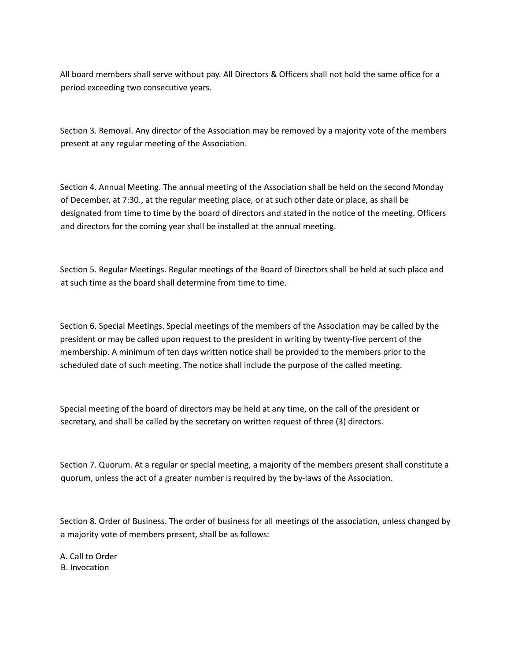All board members shall serve without pay. All Directors & Officers shall not hold the same office for a period exceeding two consecutive years.

Section 3. Removal. Any director of the Association may be removed by a majority vote of the members present at any regular meeting of the Association.

Section 4. Annual Meeting. The annual meeting of the Association shall be held on the second Monday of December, at 7:30., at the regular meeting place, or at such other date or place, as shall be designated from time to time by the board of directors and stated in the notice of the meeting. Officers and directors for the coming year shall be installed at the annual meeting.

Section 5. Regular Meetings. Regular meetings of the Board of Directors shall be held at such place and at such time as the board shall determine from time to time.

Section 6. Special Meetings. Special meetings of the members of the Association may be called by the president or may be called upon request to the president in writing by twenty-five percent of the membership. A minimum of ten days written notice shall be provided to the members prior to the scheduled date of such meeting. The notice shall include the purpose of the called meeting.

Special meeting of the board of directors may be held at any time, on the call of the president or secretary, and shall be called by the secretary on written request of three (3) directors.

Section 7. Quorum. At a regular or special meeting, a majority of the members present shall constitute a quorum, unless the act of a greater number is required by the by-laws of the Association.

Section 8. Order of Business. The order of business for all meetings of the association, unless changed by a majority vote of members present, shall be as follows:

A. Call to Order B. Invocation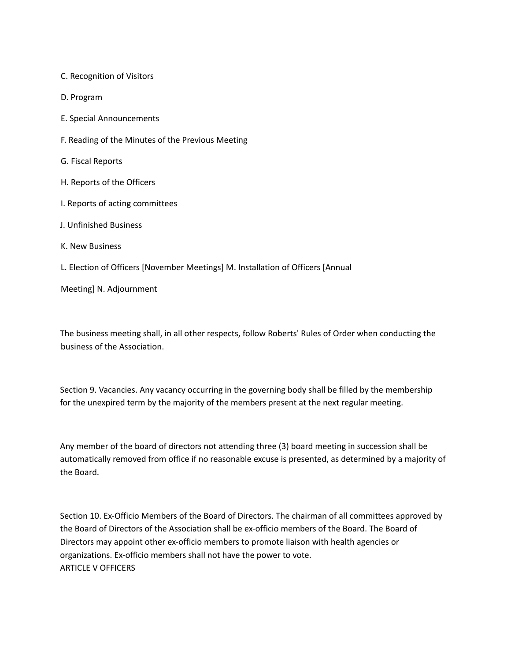C. Recognition of Visitors

D. Program

E. Special Announcements

F. Reading of the Minutes of the Previous Meeting

G. Fiscal Reports

- H. Reports of the Officers
- I. Reports of acting committees
- J. Unfinished Business
- K. New Business
- L. Election of Officers [November Meetings] M. Installation of Officers [Annual

Meeting] N. Adjournment

The business meeting shall, in all other respects, follow Roberts' Rules of Order when conducting the business of the Association.

Section 9. Vacancies. Any vacancy occurring in the governing body shall be filled by the membership for the unexpired term by the majority of the members present at the next regular meeting.

Any member of the board of directors not attending three (3) board meeting in succession shall be automatically removed from office if no reasonable excuse is presented, as determined by a majority of the Board.

Section 10. Ex-Officio Members of the Board of Directors. The chairman of all committees approved by the Board of Directors of the Association shall be ex-officio members of the Board. The Board of Directors may appoint other ex-officio members to promote liaison with health agencies or organizations. Ex-officio members shall not have the power to vote. ARTICLE V OFFICERS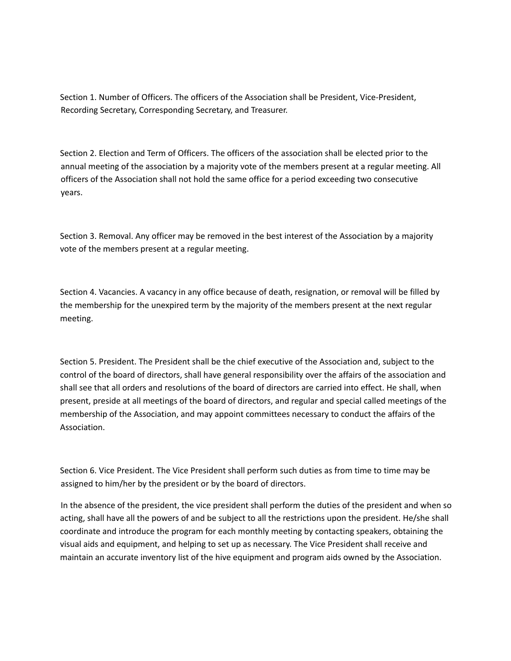Section 1. Number of Officers. The officers of the Association shall be President, Vice-President, Recording Secretary, Corresponding Secretary, and Treasurer.

Section 2. Election and Term of Officers. The officers of the association shall be elected prior to the annual meeting of the association by a majority vote of the members present at a regular meeting. All officers of the Association shall not hold the same office for a period exceeding two consecutive years.

Section 3. Removal. Any officer may be removed in the best interest of the Association by a majority vote of the members present at a regular meeting.

Section 4. Vacancies. A vacancy in any office because of death, resignation, or removal will be filled by the membership for the unexpired term by the majority of the members present at the next regular meeting.

Section 5. President. The President shall be the chief executive of the Association and, subject to the control of the board of directors, shall have general responsibility over the affairs of the association and shall see that all orders and resolutions of the board of directors are carried into effect. He shall, when present, preside at all meetings of the board of directors, and regular and special called meetings of the membership of the Association, and may appoint committees necessary to conduct the affairs of the Association.

Section 6. Vice President. The Vice President shall perform such duties as from time to time may be assigned to him/her by the president or by the board of directors.

In the absence of the president, the vice president shall perform the duties of the president and when so acting, shall have all the powers of and be subject to all the restrictions upon the president. He/she shall coordinate and introduce the program for each monthly meeting by contacting speakers, obtaining the visual aids and equipment, and helping to set up as necessary. The Vice President shall receive and maintain an accurate inventory list of the hive equipment and program aids owned by the Association.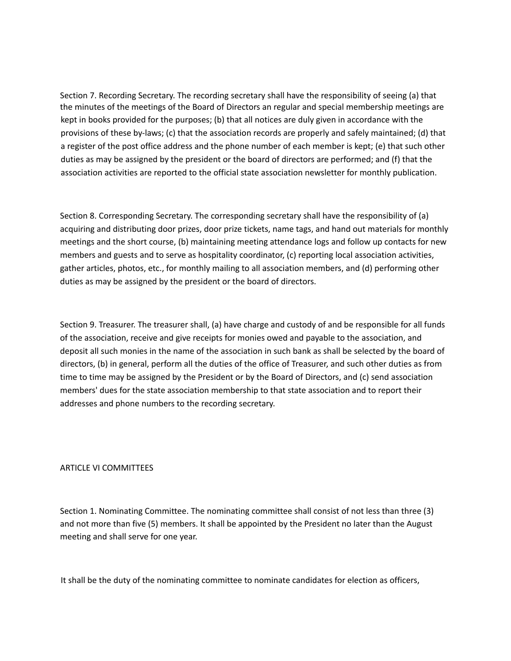Section 7. Recording Secretary. The recording secretary shall have the responsibility of seeing (a) that the minutes of the meetings of the Board of Directors an regular and special membership meetings are kept in books provided for the purposes; (b) that all notices are duly given in accordance with the provisions of these by-laws; (c) that the association records are properly and safely maintained; (d) that a register of the post office address and the phone number of each member is kept; (e) that such other duties as may be assigned by the president or the board of directors are performed; and (f) that the association activities are reported to the official state association newsletter for monthly publication.

Section 8. Corresponding Secretary. The corresponding secretary shall have the responsibility of (a) acquiring and distributing door prizes, door prize tickets, name tags, and hand out materials for monthly meetings and the short course, (b) maintaining meeting attendance logs and follow up contacts for new members and guests and to serve as hospitality coordinator, (c) reporting local association activities, gather articles, photos, etc., for monthly mailing to all association members, and (d) performing other duties as may be assigned by the president or the board of directors.

Section 9. Treasurer. The treasurer shall, (a) have charge and custody of and be responsible for all funds of the association, receive and give receipts for monies owed and payable to the association, and deposit all such monies in the name of the association in such bank as shall be selected by the board of directors, (b) in general, perform all the duties of the office of Treasurer, and such other duties as from time to time may be assigned by the President or by the Board of Directors, and (c) send association members' dues for the state association membership to that state association and to report their addresses and phone numbers to the recording secretary.

#### ARTICLE VI COMMITTEES

Section 1. Nominating Committee. The nominating committee shall consist of not less than three (3) and not more than five (5) members. It shall be appointed by the President no later than the August meeting and shall serve for one year.

It shall be the duty of the nominating committee to nominate candidates for election as officers,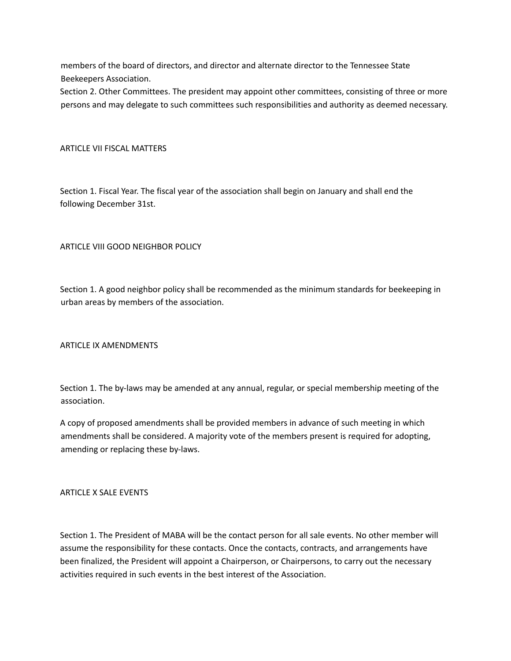members of the board of directors, and director and alternate director to the Tennessee State Beekeepers Association.

Section 2. Other Committees. The president may appoint other committees, consisting of three or more persons and may delegate to such committees such responsibilities and authority as deemed necessary.

## ARTICLE VII FISCAL MATTERS

Section 1. Fiscal Year. The fiscal year of the association shall begin on January and shall end the following December 31st.

# ARTICLE VIII GOOD NEIGHBOR POLICY

Section 1. A good neighbor policy shall be recommended as the minimum standards for beekeeping in urban areas by members of the association.

## ARTICLE IX AMENDMENTS

Section 1. The by-laws may be amended at any annual, regular, or special membership meeting of the association.

A copy of proposed amendments shall be provided members in advance of such meeting in which amendments shall be considered. A majority vote of the members present is required for adopting, amending or replacing these by-laws.

## ARTICLE X SALE EVENTS

Section 1. The President of MABA will be the contact person for all sale events. No other member will assume the responsibility for these contacts. Once the contacts, contracts, and arrangements have been finalized, the President will appoint a Chairperson, or Chairpersons, to carry out the necessary activities required in such events in the best interest of the Association.